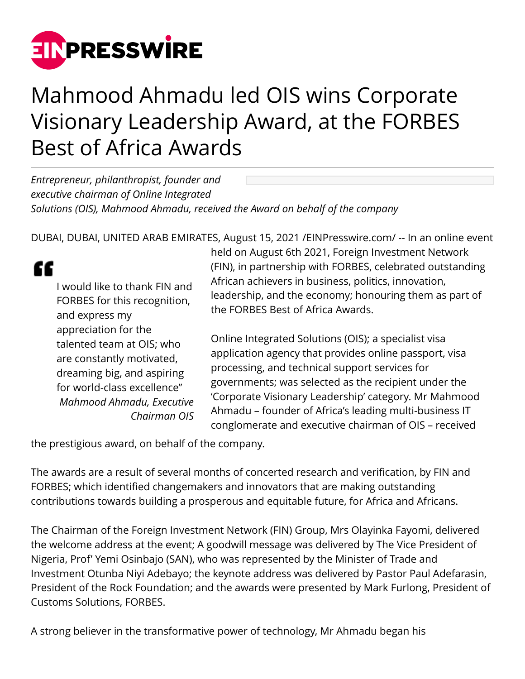

## Mahmood Ahmadu led OIS wins Corporate Visionary Leadership Award, at the FORBES Best of Africa Awards

*Entrepreneur, philanthropist, founder and executive chairman of Online Integrated Solutions (OIS), Mahmood Ahmadu, received the Award on behalf of the company*

DUBAI, DUBAI, UNITED ARAB EMIRATES, August 15, 2021 [/EINPresswire.com](http://www.einpresswire.com)/ -- In an online event

## ££

I would like to thank FIN and FORBES for this recognition, and express my appreciation for the talented team at OIS; who are constantly motivated, dreaming big, and aspiring for world-class excellence" *Mahmood Ahmadu, Executive Chairman OIS* held on August 6th 2021, Foreign Investment Network (FIN), in partnership with FORBES, celebrated outstanding African achievers in business, politics, innovation, leadership, and the economy; honouring them as part of the FORBES Best of Africa Awards.

Online Integrated Solutions (OIS); a specialist visa application agency that provides online passport, visa processing, and technical support services for governments; was selected as the recipient under the 'Corporate Visionary Leadership' category. Mr Mahmood Ahmadu – founder of Africa's leading multi-business IT conglomerate and executive chairman of OIS – received

the prestigious award, on behalf of the company.

The awards are a result of several months of concerted research and verification, by FIN and FORBES; which identified changemakers and innovators that are making outstanding contributions towards building a prosperous and equitable future, for Africa and Africans.

The Chairman of the Foreign Investment Network (FIN) Group, Mrs Olayinka Fayomi, delivered the welcome address at the event; A goodwill message was delivered by The Vice President of Nigeria, Prof' Yemi Osinbajo (SAN), who was represented by the Minister of Trade and Investment Otunba Niyi Adebayo; the keynote address was delivered by Pastor Paul Adefarasin, President of the Rock Foundation; and the awards were presented by Mark Furlong, President of Customs Solutions, FORBES.

A strong believer in the transformative power of technology, Mr Ahmadu began his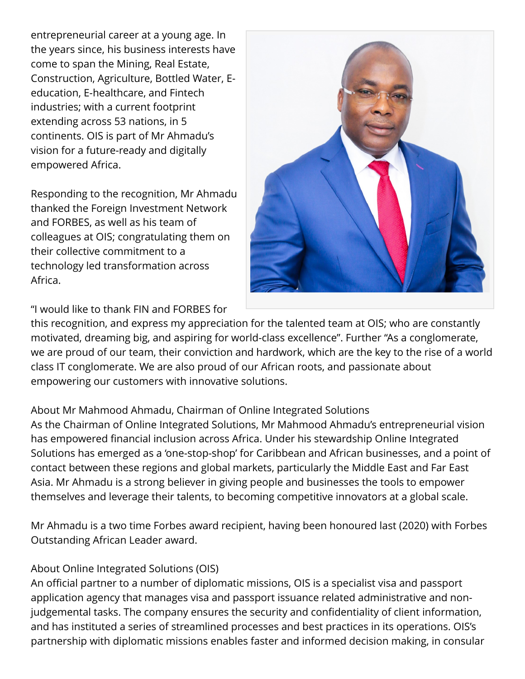entrepreneurial career at a young age. In the years since, his business interests have come to span the Mining, Real Estate, Construction, Agriculture, Bottled Water, Eeducation, E-healthcare, and Fintech industries; with a current footprint extending across 53 nations, in 5 continents. OIS is part of Mr Ahmadu's vision for a future-ready and digitally empowered Africa.

Responding to the recognition, Mr Ahmadu thanked the Foreign Investment Network and FORBES, as well as his team of colleagues at OIS; congratulating them on their collective commitment to a technology led transformation across Africa.



"I would like to thank FIN and FORBES for

this recognition, and express my appreciation for the talented team at OIS; who are constantly motivated, dreaming big, and aspiring for world-class excellence". Further "As a conglomerate, we are proud of our team, their conviction and hardwork, which are the key to the rise of a world class IT conglomerate. We are also proud of our African roots, and passionate about empowering our customers with innovative solutions.

## About Mr Mahmood Ahmadu, Chairman of Online Integrated Solutions

As the Chairman of Online Integrated Solutions, Mr Mahmood Ahmadu's entrepreneurial vision has empowered financial inclusion across Africa. Under his stewardship Online Integrated Solutions has emerged as a 'one-stop-shop' for Caribbean and African businesses, and a point of contact between these regions and global markets, particularly the Middle East and Far East Asia. Mr Ahmadu is a strong believer in giving people and businesses the tools to empower themselves and leverage their talents, to becoming competitive innovators at a global scale.

Mr Ahmadu is a two time Forbes award recipient, having been honoured last (2020) with Forbes Outstanding African Leader award.

## About Online Integrated Solutions (OIS)

An official partner to a number of diplomatic missions, OIS is a specialist visa and passport application agency that manages visa and passport issuance related administrative and nonjudgemental tasks. The company ensures the security and confidentiality of client information, and has instituted a series of streamlined processes and best practices in its operations. OIS's partnership with diplomatic missions enables faster and informed decision making, in consular